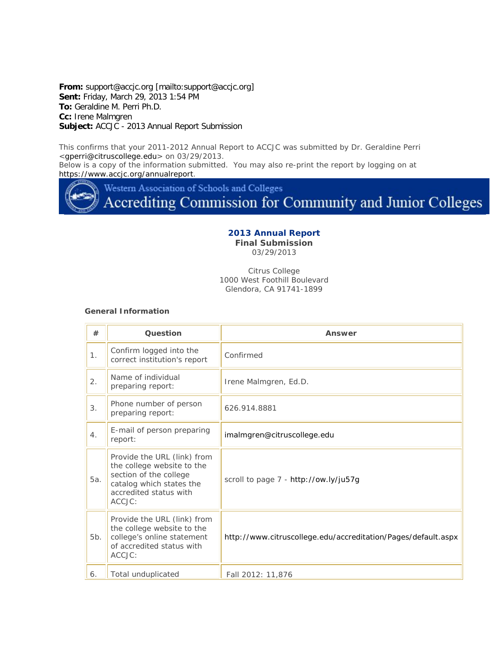**From:** support@accjc.org [mailto:support@accjc.org] **Sent:** Friday, March 29, 2013 1:54 PM **To:** Geraldine M. Perri Ph.D. **Cc:** Irene Malmgren **Subject:** ACCJC - 2013 Annual Report Submission

This confirms that your 2011-2012 Annual Report to ACCJC was submitted by Dr. Geraldine Perri <gperri@citruscollege.edu> on 03/29/2013.

Below is a copy of the information submitted. You may also re-print the report by logging on at https://www.accjc.org/annualreport.

Western Association of Schools and Colleges

Accrediting Commission for Community and Junior Colleges

## **2013 Annual Report Final Submission**

03/29/2013

Citrus College 1000 West Foothill Boulevard Glendora, CA 91741-1899

### **General Information**

| #   | Question                                                                                                                                            | Answer                                                        |
|-----|-----------------------------------------------------------------------------------------------------------------------------------------------------|---------------------------------------------------------------|
| 1.  | Confirm logged into the<br>correct institution's report                                                                                             | Confirmed                                                     |
| 2.  | Name of individual<br>preparing report:                                                                                                             | Irene Malmgren, Ed.D.                                         |
| 3.  | Phone number of person<br>preparing report:                                                                                                         | 626.914.8881                                                  |
| 4.  | E-mail of person preparing<br>report:                                                                                                               | imalmgren@citruscollege.edu                                   |
| 5a. | Provide the URL (link) from<br>the college website to the<br>section of the college<br>catalog which states the<br>accredited status with<br>ACCJC: | scroll to page 7 - http://ow.ly/ju57g                         |
| 5b. | Provide the URL (link) from<br>the college website to the<br>college's online statement<br>of accredited status with<br>ACCJC:                      | http://www.citruscollege.edu/accreditation/Pages/default.aspx |
| 6.  | Total unduplicated                                                                                                                                  | Fall 2012: 11,876                                             |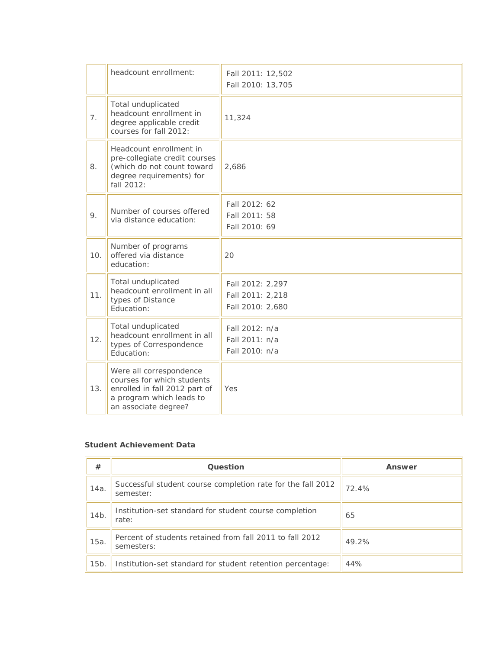|     | headcount enrollment:                                                                                                                      | Fall 2011: 12,502<br>Fall 2010: 13,705                   |
|-----|--------------------------------------------------------------------------------------------------------------------------------------------|----------------------------------------------------------|
| 7.  | Total unduplicated<br>headcount enrollment in<br>degree applicable credit<br>courses for fall 2012:                                        | 11,324                                                   |
| 8.  | Headcount enrollment in<br>pre-collegiate credit courses<br>(which do not count toward<br>degree requirements) for<br>fall 2012:           | 2,686                                                    |
| 9.  | Number of courses offered<br>via distance education:                                                                                       | Fall 2012: 62<br>Fall 2011: 58<br>Fall 2010: 69          |
| 10. | Number of programs<br>offered via distance<br>education:                                                                                   | 20                                                       |
| 11. | Total unduplicated<br>headcount enrollment in all<br>types of Distance<br>Education:                                                       | Fall 2012: 2,297<br>Fall 2011: 2,218<br>Fall 2010: 2,680 |
| 12. | Total unduplicated<br>headcount enrollment in all<br>types of Correspondence<br>Education:                                                 | Fall 2012: n/a<br>Fall 2011: n/a<br>Fall 2010: n/a       |
| 13. | Were all correspondence<br>courses for which students<br>enrolled in fall 2012 part of<br>a program which leads to<br>an associate degree? | Yes                                                      |

## **Student Achievement Data**

| #               | Question                                                                 | Answer |
|-----------------|--------------------------------------------------------------------------|--------|
| 14a.            | Successful student course completion rate for the fall 2012<br>semester: | 72.4%  |
| 14 <sub>b</sub> | Institution-set standard for student course completion<br>rate:          | 65     |
| $15a$ .         | Percent of students retained from fall 2011 to fall 2012<br>semesters:   | 49.2%  |
| 15 <sub>b</sub> | Institution-set standard for student retention percentage:               | 44%    |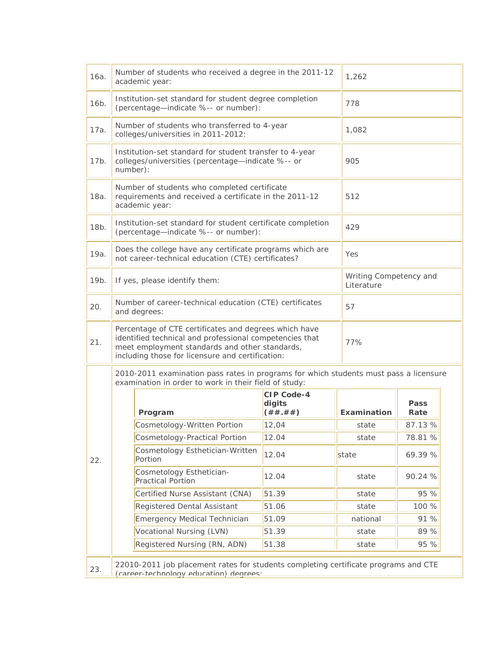| 16a. | Number of students who received a degree in the 2011-12<br>academic year:                                                                                                                                              |                                                                                                                          | 1,262                                    |                                      |              |
|------|------------------------------------------------------------------------------------------------------------------------------------------------------------------------------------------------------------------------|--------------------------------------------------------------------------------------------------------------------------|------------------------------------------|--------------------------------------|--------------|
| 16b. | Institution-set standard for student degree completion<br>(percentage-indicate %-- or number):                                                                                                                         |                                                                                                                          | 778                                      |                                      |              |
| 17a. | Number of students who transferred to 4-year<br>colleges/universities in 2011-2012:                                                                                                                                    |                                                                                                                          | 1,082                                    |                                      |              |
| 17b. | Institution-set standard for student transfer to 4-year<br>colleges/universities (percentage-indicate %-- or<br>number):                                                                                               |                                                                                                                          | 905                                      |                                      |              |
| 18a. |                                                                                                                                                                                                                        | Number of students who completed certificate<br>requirements and received a certificate in the 2011-12<br>academic year: |                                          | 512                                  |              |
| 18b. |                                                                                                                                                                                                                        | Institution-set standard for student certificate completion<br>(percentage-indicate %-- or number):                      |                                          | 429                                  |              |
| 19a. |                                                                                                                                                                                                                        | Does the college have any certificate programs which are<br>not career-technical education (CTE) certificates?           |                                          | Yes                                  |              |
| 19b. |                                                                                                                                                                                                                        | If yes, please identify them:                                                                                            |                                          | Writing Competency and<br>Literature |              |
| 20.  |                                                                                                                                                                                                                        | Number of career-technical education (CTE) certificates<br>and degrees:                                                  |                                          | 57                                   |              |
| 21.  | Percentage of CTE certificates and degrees which have<br>identified technical and professional competencies that<br>meet employment standards and other standards,<br>including those for licensure and certification: |                                                                                                                          | 77%                                      |                                      |              |
|      | 2010-2011 examination pass rates in programs for which students must pass a licensure<br>examination in order to work in their field of study:                                                                         |                                                                                                                          |                                          |                                      |              |
|      |                                                                                                                                                                                                                        | Program                                                                                                                  | <b>CIP Code-4</b><br>digits<br>( ## .##) | Examination                          | Pass<br>Rate |
|      |                                                                                                                                                                                                                        | Cosmetology-Written Portion                                                                                              | 12,04                                    | state                                | 87.13 %      |
|      |                                                                                                                                                                                                                        | <b>Cosmetology-Practical Portion</b>                                                                                     | 12.04                                    | state                                | 78.81 %      |
| 22.  |                                                                                                                                                                                                                        | Cosmetology Esthetician-Written<br>Portion                                                                               | 12.04                                    | state                                | 69.39 %      |
|      |                                                                                                                                                                                                                        | Cosmetology Esthetician-<br><b>Practical Portion</b>                                                                     | 12.04                                    | state                                | 90.24 %      |
|      |                                                                                                                                                                                                                        | Certified Nurse Assistant (CNA)                                                                                          | 51.39                                    | state                                | 95 %         |
|      |                                                                                                                                                                                                                        | <b>Registered Dental Assistant</b>                                                                                       | 51.06                                    | state                                | 100 %        |
|      |                                                                                                                                                                                                                        | <b>Emergency Medical Technician</b>                                                                                      | 51.09                                    | national                             | 91 %         |
|      |                                                                                                                                                                                                                        | Vocational Nursing (LVN)                                                                                                 | 51.39                                    | state                                | 89 %         |
|      |                                                                                                                                                                                                                        | Registered Nursing (RN, ADN)                                                                                             | 51.38                                    | state                                | 95 %         |
| 23.  | 22010-2011 job placement rates for students completing certificate programs and CTE<br>(career-technology education) degrees:                                                                                          |                                                                                                                          |                                          |                                      |              |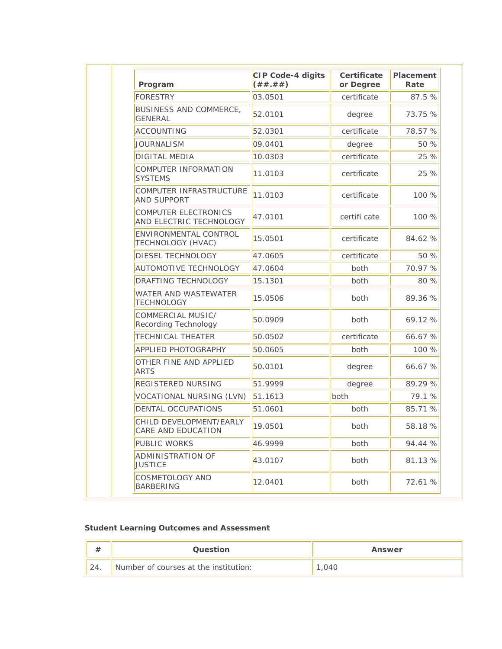| Program                                                | <b>CIP Code-4 digits</b><br>( ## .##) | Certificate<br>or Degree | Placement<br>Rate |
|--------------------------------------------------------|---------------------------------------|--------------------------|-------------------|
| <b>FORESTRY</b>                                        | 03.0501                               | certificate              | 87.5 %            |
| BUSINESS AND COMMERCE,<br><b>GENERAL</b>               | 52.0101                               | degree                   | 73.75 %           |
| <b>ACCOUNTING</b>                                      | 52.0301                               | certificate              | 78.57 %           |
| <b>JOURNALISM</b>                                      | 09.0401                               | degree                   | 50 %              |
| <b>DIGITAL MEDIA</b>                                   | 10.0303                               | certificate              | 25 %              |
| <b>COMPUTER INFORMATION</b><br><b>SYSTEMS</b>          | 11.0103                               | certificate              | 25 %              |
| COMPUTER INFRASTRUCTURE<br><b>AND SUPPORT</b>          | 11.0103                               | certificate              | 100 %             |
| <b>COMPUTER ELECTRONICS</b><br>AND ELECTRIC TECHNOLOGY | 47.0101                               | certifi cate             | 100 %             |
| ENVIRONMENTAL CONTROL<br>TECHNOLOGY (HVAC)             | 15.0501                               | certificate              | 84.62 %           |
| DIESEL TECHNOLOGY                                      | 47.0605                               | certificate              | 50 %              |
| <b>AUTOMOTIVE TECHNOLOGY</b>                           | 47.0604                               | both                     | 70.97 %           |
| <b>DRAFTING TECHNOLOGY</b>                             | 15.1301                               | both                     | 80 %              |
| <b>WATER AND WASTEWATER</b><br><b>TECHNOLOGY</b>       | 15.0506                               | both                     | 89.36 %           |
| COMMERCIAL MUSIC/<br>Recording Technology              | 50.0909                               | both                     | 69.12 %           |
| <b>TECHNICAL THEATER</b>                               | 50.0502                               | certificate              | 66.67 %           |
| <b>APPLIED PHOTOGRAPHY</b>                             | 50.0605                               | both                     | 100 %             |
| OTHER FINE AND APPLIED<br><b>ARTS</b>                  | 50.0101                               | degree                   | 66.67 %           |
| <b>REGISTERED NURSING</b>                              | 51.9999                               | degree                   | 89.29 %           |
| VOCATIONAL NURSING (LVN)                               | 51.1613                               | both                     | 79.1 %            |
| DENTAL OCCUPATIONS                                     | 51.0601                               | both                     | 85.71 %           |
| CHILD DEVELOPMENT/EARLY<br>CARE AND EDUCATION          | 19.0501                               | both                     | 58.18 %           |
| <b>PUBLIC WORKS</b>                                    | 46.9999                               | both                     | 94.44 %           |
| <b>ADMINISTRATION OF</b><br><b>JUSTICE</b>             | 43.0107                               | both                     | 81.13 %           |
| <b>COSMETOLOGY AND</b><br>BARBERING                    | 12.0401                               | both                     | 72.61 %           |

# **Student Learning Outcomes and Assessment**

| #   | <b>Ouestion</b>                       | Answer |
|-----|---------------------------------------|--------|
| 24. | Number of courses at the institution: | 040    |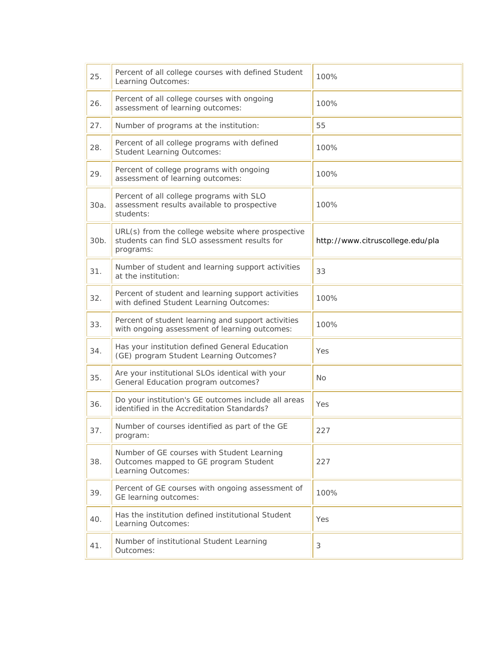| 25.     | Percent of all college courses with defined Student<br>Learning Outcomes:                                      | 100%                             |
|---------|----------------------------------------------------------------------------------------------------------------|----------------------------------|
| 26.     | Percent of all college courses with ongoing<br>assessment of learning outcomes:                                | 100%                             |
| 27.     | Number of programs at the institution:                                                                         | 55                               |
| 28.     | Percent of all college programs with defined<br><b>Student Learning Outcomes:</b>                              | 100%                             |
| 29.     | Percent of college programs with ongoing<br>assessment of learning outcomes:                                   | 100%                             |
| 30a.    | Percent of all college programs with SLO<br>assessment results available to prospective<br>students:           | 100%                             |
| $30b$ . | URL(s) from the college website where prospective<br>students can find SLO assessment results for<br>programs: | http://www.citruscollege.edu/pla |
| 31.     | Number of student and learning support activities<br>at the institution:                                       | 33                               |
| 32.     | Percent of student and learning support activities<br>with defined Student Learning Outcomes:                  | 100%                             |
| 33.     | Percent of student learning and support activities<br>with ongoing assessment of learning outcomes:            | 100%                             |
| 34.     | Has your institution defined General Education<br>(GE) program Student Learning Outcomes?                      | Yes                              |
| 35.     | Are your institutional SLOs identical with your<br>General Education program outcomes?                         | <b>No</b>                        |
| 36.     | Do your institution's GE outcomes include all areas<br>identified in the Accreditation Standards?              | Yes                              |
| 37.     | Number of courses identified as part of the GE<br>program:                                                     | 227                              |
| 38.     | Number of GE courses with Student Learning<br>Outcomes mapped to GE program Student<br>Learning Outcomes:      | 227                              |
| 39.     | Percent of GE courses with ongoing assessment of<br>GE learning outcomes:                                      | 100%                             |
| 40.     | Has the institution defined institutional Student<br>Learning Outcomes:                                        | Yes                              |
| 41.     | Number of institutional Student Learning<br>Outcomes:                                                          | 3                                |